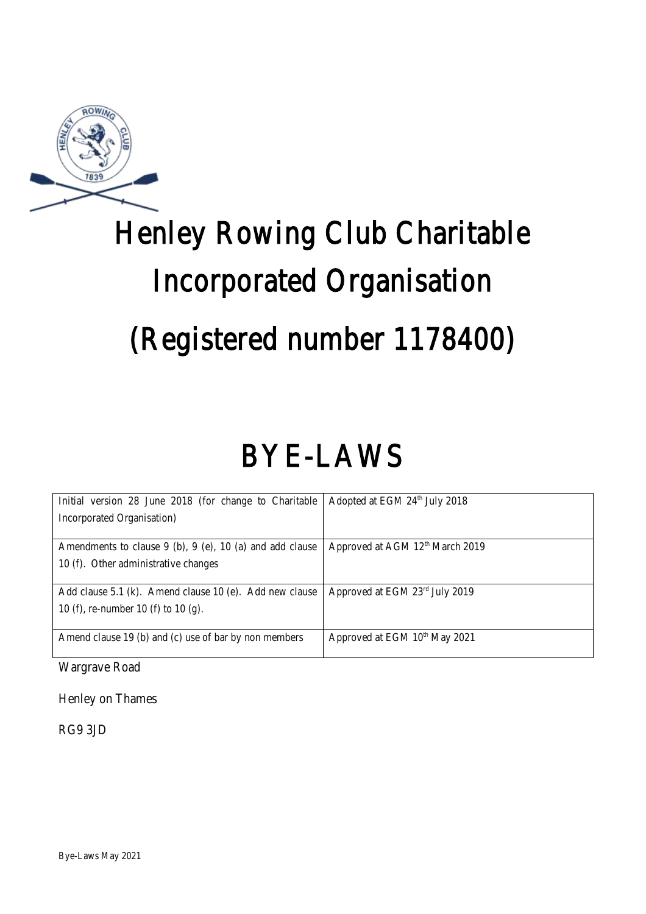

# Henley Rowing Club Charitable Incorporated Organisation (Registered number 1178400)

# BYE-LAWS

| Initial version 28 June 2018 (for change to Charitable         | Adopted at EGM 24th July 2018               |
|----------------------------------------------------------------|---------------------------------------------|
| Incorporated Organisation)                                     |                                             |
|                                                                |                                             |
| Amendments to clause $9$ (b), $9$ (e), $10$ (a) and add clause | Approved at AGM 12 <sup>th</sup> March 2019 |
| 10 (f). Other administrative changes                           |                                             |
|                                                                |                                             |
| Add clause 5.1 (k). Amend clause 10 (e). Add new clause        | Approved at EGM 23rd July 2019              |
| 10 (f), re-number 10 (f) to 10 (g).                            |                                             |
|                                                                |                                             |
| Amend clause 19 (b) and (c) use of bar by non members          | Approved at EGM 10 <sup>th</sup> May 2021   |
|                                                                |                                             |

Wargrave Road

Henley on Thames

RG9 3JD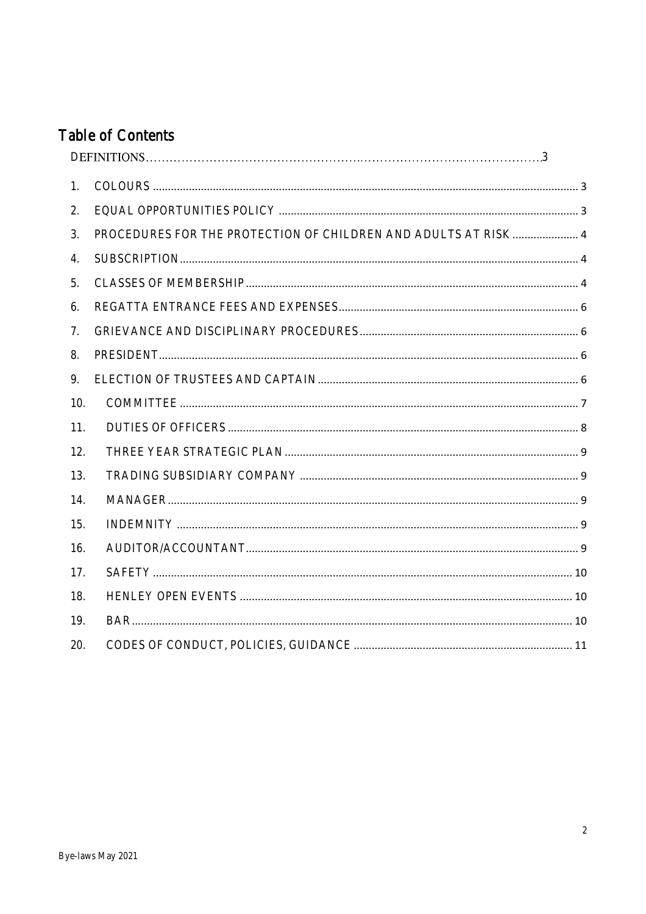# **Table of Contents**

| 1.  |                                                                |  |
|-----|----------------------------------------------------------------|--|
| 2.  |                                                                |  |
| 3.  | PROCEDURES FOR THE PROTECTION OF CHILDREN AND ADULTS AT RISK 4 |  |
| 4.  |                                                                |  |
| 5.  |                                                                |  |
| 6.  |                                                                |  |
| 7.  |                                                                |  |
| 8.  |                                                                |  |
| 9.  |                                                                |  |
| 10. |                                                                |  |
| 11. |                                                                |  |
| 12. |                                                                |  |
| 13. |                                                                |  |
| 14. |                                                                |  |
| 15. |                                                                |  |
| 16. |                                                                |  |
| 17. |                                                                |  |
| 18. |                                                                |  |
| 19. |                                                                |  |
| 20. |                                                                |  |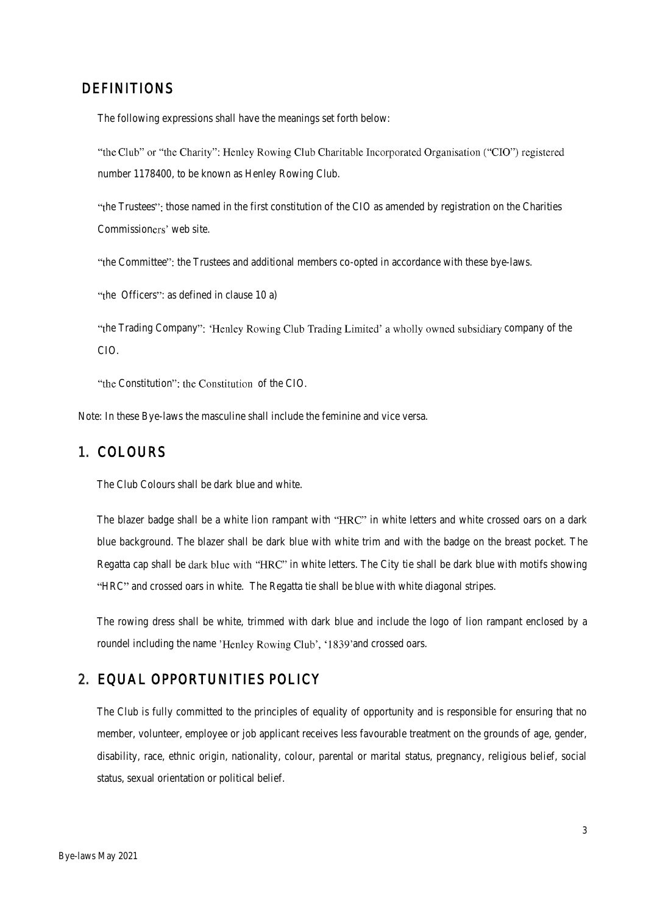#### DEFINITIONS

The following expressions shall have the meanings set forth below:

"the Club" or "the Charity": Henley Rowing Club Charitable Incorporated Organisation ("CIO") registered number 1178400, to be known as Henley Rowing Club.

"the Trustees": those named in the first constitution of the CIO as amended by registration on the Charities Commissioners' web site.

"the Committee": the Trustees and additional members co-opted in accordance with these bye-laws.

"the Officers": as defined in clause 10 a)

"the Trading Company": 'Henley Rowing Club Trading Limited' a wholly owned subsidiary company of the CIO.

"the Constitution": the Constitution of the CIO.

Note: In these Bye-laws the masculine shall include the feminine and vice versa.

#### <span id="page-2-0"></span>1. COLOURS

The Club Colours shall be dark blue and white.

The blazer badge shall be a white lion rampant with "HRC" in white letters and white crossed oars on a dark blue background. The blazer shall be dark blue with white trim and with the badge on the breast pocket. The Regatta cap shall be dark blue with "HRC" in white letters. The City tie shall be dark blue with motifs showing "HRC" and crossed oars in white. The Regatta tie shall be blue with white diagonal stripes.

The rowing dress shall be white, trimmed with dark blue and include the logo of lion rampant enclosed by a roundel including the name 'Henley Rowing Club', '1839' and crossed oars.

#### <span id="page-2-1"></span>2. EQUAL OPPORTUNITIES POLICY

The Club is fully committed to the principles of equality of opportunity and is responsible for ensuring that no member, volunteer, employee or job applicant receives less favourable treatment on the grounds of age, gender, disability, race, ethnic origin, nationality, colour, parental or marital status, pregnancy, religious belief, social status, sexual orientation or political belief.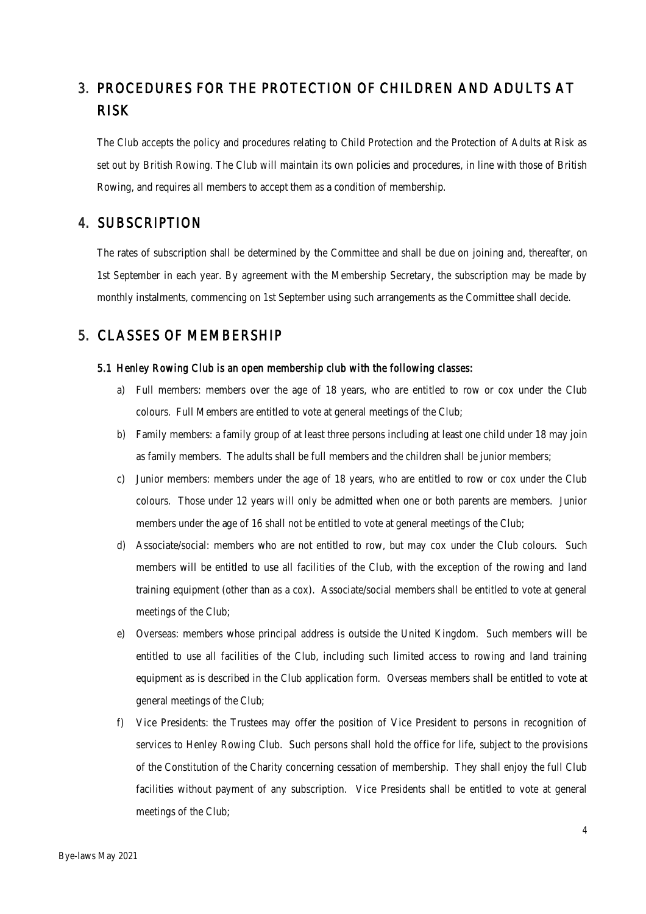# <span id="page-3-0"></span>3. PROCEDURES FOR THE PROTECTION OF CHILDREN AND ADULTS AT RISK

The Club accepts the policy and procedures relating to Child Protection and the Protection of Adults at Risk as set out by British Rowing. The Club will maintain its own policies and procedures, in line with those of British Rowing, and requires all members to accept them as a condition of membership.

#### <span id="page-3-1"></span>4. SUBSCRIPTION

The rates of subscription shall be determined by the Committee and shall be due on joining and, thereafter, on 1st September in each year. By agreement with the Membership Secretary, the subscription may be made by monthly instalments, commencing on 1st September using such arrangements as the Committee shall decide.

# <span id="page-3-2"></span>5. CLASSES OF MEMBERSHIP

#### 5.1 Henley Rowing Club is an open membership club with the following classes:

- a) Full members: members over the age of 18 years, who are entitled to row or cox under the Club colours. Full Members are entitled to vote at general meetings of the Club;
- b) Family members: a family group of at least three persons including at least one child under 18 may join as family members. The adults shall be full members and the children shall be junior members;
- c) Junior members: members under the age of 18 years, who are entitled to row or cox under the Club colours. Those under 12 years will only be admitted when one or both parents are members. Junior members under the age of 16 shall not be entitled to vote at general meetings of the Club;
- d) Associate/social: members who are not entitled to row, but may cox under the Club colours. Such members will be entitled to use all facilities of the Club, with the exception of the rowing and land training equipment (other than as a cox). Associate/social members shall be entitled to vote at general meetings of the Club;
- e) Overseas: members whose principal address is outside the United Kingdom. Such members will be entitled to use all facilities of the Club, including such limited access to rowing and land training equipment as is described in the Club application form. Overseas members shall be entitled to vote at general meetings of the Club;
- f) Vice Presidents: the Trustees may offer the position of Vice President to persons in recognition of services to Henley Rowing Club. Such persons shall hold the office for life, subject to the provisions of the Constitution of the Charity concerning cessation of membership. They shall enjoy the full Club facilities without payment of any subscription. Vice Presidents shall be entitled to vote at general meetings of the Club;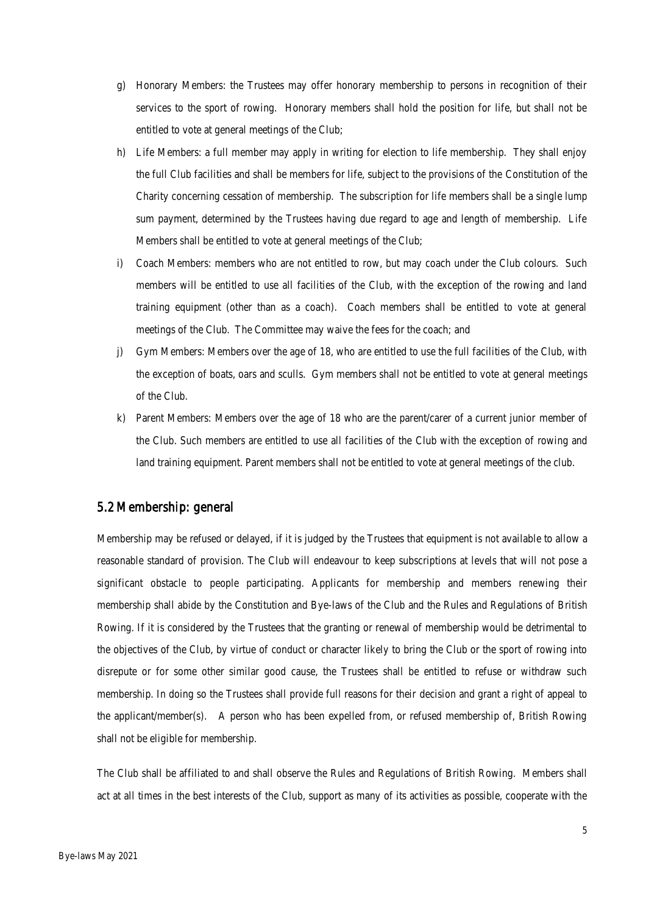- g) Honorary Members: the Trustees may offer honorary membership to persons in recognition of their services to the sport of rowing. Honorary members shall hold the position for life, but shall not be entitled to vote at general meetings of the Club;
- h) Life Members: a full member may apply in writing for election to life membership. They shall enjoy the full Club facilities and shall be members for life, subject to the provisions of the Constitution of the Charity concerning cessation of membership. The subscription for life members shall be a single lump sum payment, determined by the Trustees having due regard to age and length of membership. Life Members shall be entitled to vote at general meetings of the Club;
- i) Coach Members: members who are not entitled to row, but may coach under the Club colours. Such members will be entitled to use all facilities of the Club, with the exception of the rowing and land training equipment (other than as a coach). Coach members shall be entitled to vote at general meetings of the Club. The Committee may waive the fees for the coach; and
- j) Gym Members: Members over the age of 18, who are entitled to use the full facilities of the Club, with the exception of boats, oars and sculls. Gym members shall not be entitled to vote at general meetings of the Club.
- k) Parent Members: Members over the age of 18 who are the parent/carer of a current junior member of the Club. Such members are entitled to use all facilities of the Club with the exception of rowing and land training equipment. Parent members shall not be entitled to vote at general meetings of the club.

#### 5.2 Membership: general

Membership may be refused or delayed, if it is judged by the Trustees that equipment is not available to allow a reasonable standard of provision. The Club will endeavour to keep subscriptions at levels that will not pose a significant obstacle to people participating. Applicants for membership and members renewing their membership shall abide by the Constitution and Bye-laws of the Club and the Rules and Regulations of British Rowing. If it is considered by the Trustees that the granting or renewal of membership would be detrimental to the objectives of the Club, by virtue of conduct or character likely to bring the Club or the sport of rowing into disrepute or for some other similar good cause, the Trustees shall be entitled to refuse or withdraw such membership. In doing so the Trustees shall provide full reasons for their decision and grant a right of appeal to the applicant/member(s). A person who has been expelled from, or refused membership of, British Rowing shall not be eligible for membership.

The Club shall be affiliated to and shall observe the Rules and Regulations of British Rowing. Members shall act at all times in the best interests of the Club, support as many of its activities as possible, cooperate with the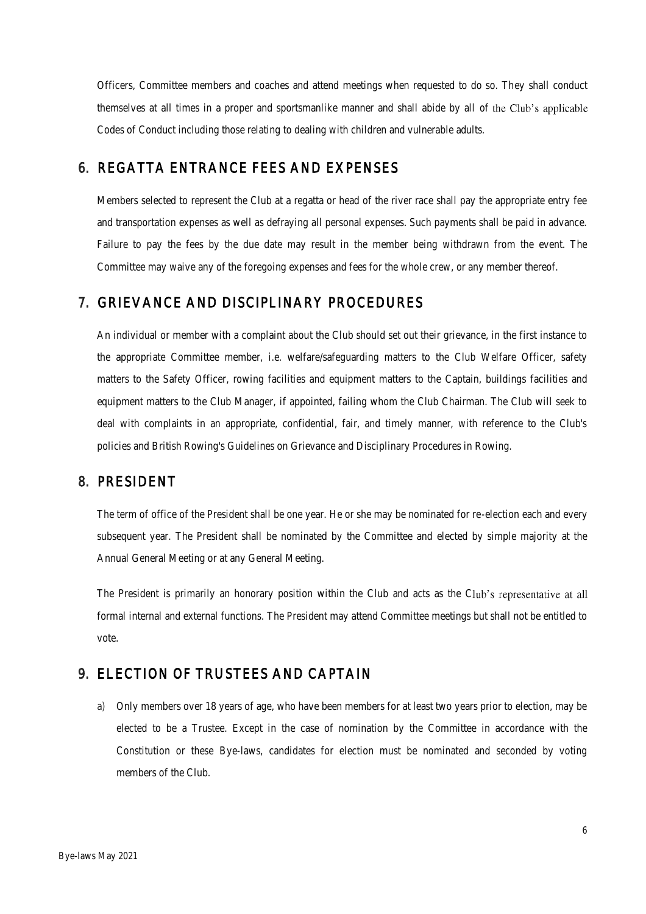Officers, Committee members and coaches and attend meetings when requested to do so. They shall conduct themselves at all times in a proper and sportsmanlike manner and shall abide by all of the Club's applicable Codes of Conduct including those relating to dealing with children and vulnerable adults.

# <span id="page-5-0"></span>6. REGATTA ENTRANCE FEES AND EXPENSES

Members selected to represent the Club at a regatta or head of the river race shall pay the appropriate entry fee and transportation expenses as well as defraying all personal expenses. Such payments shall be paid in advance. Failure to pay the fees by the due date may result in the member being withdrawn from the event. The Committee may waive any of the foregoing expenses and fees for the whole crew, or any member thereof.

# <span id="page-5-1"></span>7. GRIEVANCE AND DISCIPLINARY PROCEDURES

An individual or member with a complaint about the Club should set out their grievance, in the first instance to the appropriate Committee member, i.e. welfare/safeguarding matters to the Club Welfare Officer, safety matters to the Safety Officer, rowing facilities and equipment matters to the Captain, buildings facilities and equipment matters to the Club Manager, if appointed, failing whom the Club Chairman. The Club will seek to deal with complaints in an appropriate, confidential, fair, and timely manner, with reference to the Club's policies and British Rowing's Guidelines on Grievance and Disciplinary Procedures in Rowing.

#### <span id="page-5-2"></span>8. PRESIDENT

The term of office of the President shall be one year. He or she may be nominated for re-election each and every subsequent year. The President shall be nominated by the Committee and elected by simple majority at the Annual General Meeting or at any General Meeting.

The President is primarily an honorary position within the Club and acts as the Club's representative at all formal internal and external functions. The President may attend Committee meetings but shall not be entitled to vote.

#### <span id="page-5-3"></span>9. ELECTION OF TRUSTEES AND CAPTAIN

a) Only members over 18 years of age, who have been members for at least two years prior to election, may be elected to be a Trustee. Except in the case of nomination by the Committee in accordance with the Constitution or these Bye-laws, candidates for election must be nominated and seconded by voting members of the Club.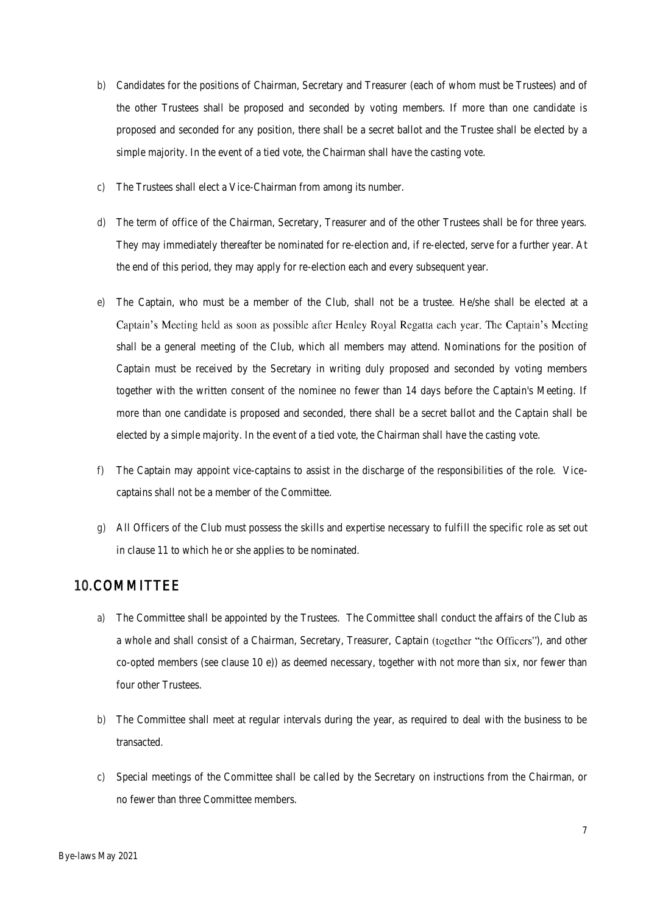- b) Candidates for the positions of Chairman, Secretary and Treasurer (each of whom must be Trustees) and of the other Trustees shall be proposed and seconded by voting members. If more than one candidate is proposed and seconded for any position, there shall be a secret ballot and the Trustee shall be elected by a simple majority. In the event of a tied vote, the Chairman shall have the casting vote.
- c) The Trustees shall elect a Vice-Chairman from among its number.
- d) The term of office of the Chairman, Secretary, Treasurer and of the other Trustees shall be for three years. They may immediately thereafter be nominated for re-election and, if re-elected, serve for a further year. At the end of this period, they may apply for re-election each and every subsequent year.
- e) The Captain, who must be a member of the Club, shall not be a trustee. He/she shall be elected at a Captain's Meeting held as soon as possible after Henley Royal Regatta each year. The Captain's Meeting shall be a general meeting of the Club, which all members may attend. Nominations for the position of Captain must be received by the Secretary in writing duly proposed and seconded by voting members together with the written consent of the nominee no fewer than 14 days before the Captain's Meeting. If more than one candidate is proposed and seconded, there shall be a secret ballot and the Captain shall be elected by a simple majority. In the event of a tied vote, the Chairman shall have the casting vote.
- f) The Captain may appoint vice-captains to assist in the discharge of the responsibilities of the role. Vicecaptains shall not be a member of the Committee.
- g) All Officers of the Club must possess the skills and expertise necessary to fulfill the specific role as set out in clause 11 to which he or she applies to be nominated.

# <span id="page-6-0"></span>10.COMMITTEE

- a) The Committee shall be appointed by the Trustees. The Committee shall conduct the affairs of the Club as a whole and shall consist of a Chairman, Secretary, Treasurer, Captain (together "the Officers"), and other co-opted members (see clause 10 e)) as deemed necessary, together with not more than six, nor fewer than four other Trustees.
- b) The Committee shall meet at regular intervals during the year, as required to deal with the business to be transacted.
- c) Special meetings of the Committee shall be called by the Secretary on instructions from the Chairman, or no fewer than three Committee members.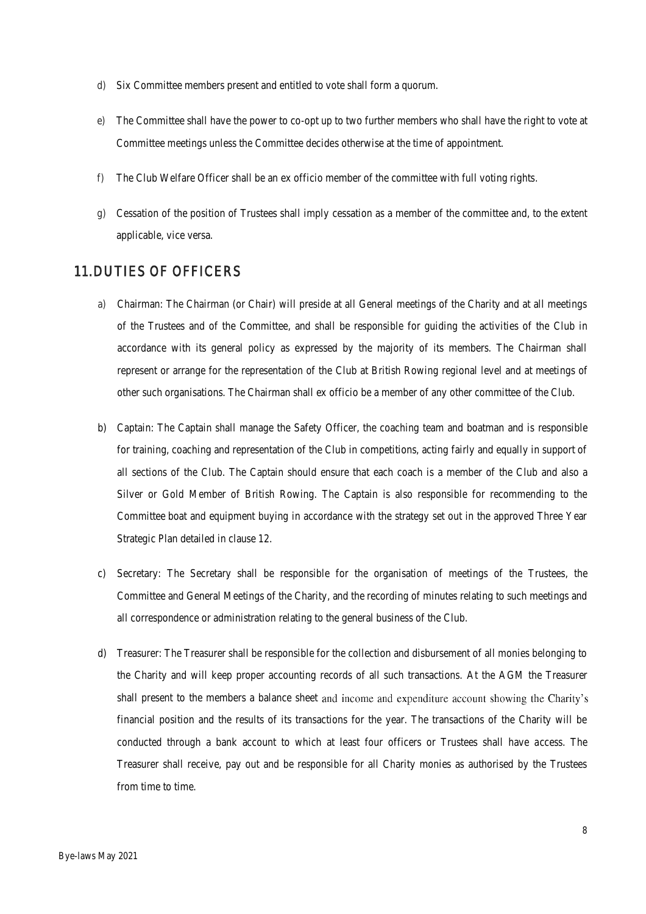- d) Six Committee members present and entitled to vote shall form a quorum.
- e) The Committee shall have the power to co-opt up to two further members who shall have the right to vote at Committee meetings unless the Committee decides otherwise at the time of appointment.
- f) The Club Welfare Officer shall be an ex officio member of the committee with full voting rights.
- g) Cessation of the position of Trustees shall imply cessation as a member of the committee and, to the extent applicable, vice versa.

#### <span id="page-7-0"></span>11.DUTIES OF OFFICERS

- a) Chairman: The Chairman (or Chair) will preside at all General meetings of the Charity and at all meetings of the Trustees and of the Committee, and shall be responsible for guiding the activities of the Club in accordance with its general policy as expressed by the majority of its members. The Chairman shall represent or arrange for the representation of the Club at British Rowing regional level and at meetings of other such organisations. The Chairman shall ex officio be a member of any other committee of the Club.
- b) Captain: The Captain shall manage the Safety Officer, the coaching team and boatman and is responsible for training, coaching and representation of the Club in competitions, acting fairly and equally in support of all sections of the Club. The Captain should ensure that each coach is a member of the Club and also a Silver or Gold Member of British Rowing. The Captain is also responsible for recommending to the Committee boat and equipment buying in accordance with the strategy set out in the approved Three Year Strategic Plan detailed in clause 12.
- c) Secretary: The Secretary shall be responsible for the organisation of meetings of the Trustees, the Committee and General Meetings of the Charity, and the recording of minutes relating to such meetings and all correspondence or administration relating to the general business of the Club.
- d) Treasurer: The Treasurer shall be responsible for the collection and disbursement of all monies belonging to the Charity and will keep proper accounting records of all such transactions. At the AGM the Treasurer shall present to the members a balance sheet and income and expenditure account showing the Charity's financial position and the results of its transactions for the year. The transactions of the Charity will be conducted through a bank account to which at least four officers or Trustees shall have access. The Treasurer shall receive, pay out and be responsible for all Charity monies as authorised by the Trustees from time to time.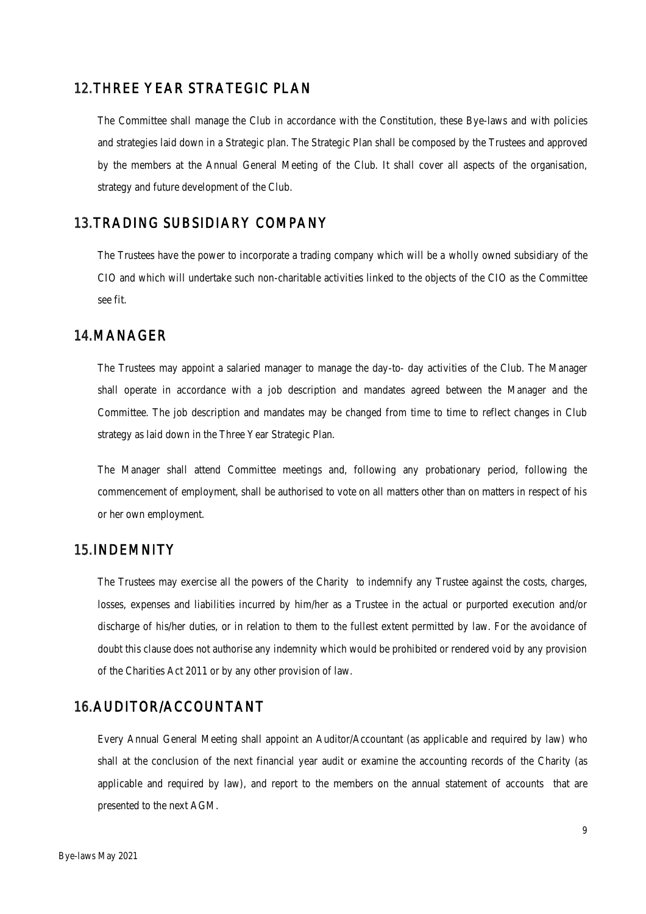#### <span id="page-8-0"></span>12.THREE YEAR STRATEGIC PLAN

The Committee shall manage the Club in accordance with the Constitution, these Bye-laws and with policies and strategies laid down in a Strategic plan. The Strategic Plan shall be composed by the Trustees and approved by the members at the Annual General Meeting of the Club. It shall cover all aspects of the organisation, strategy and future development of the Club.

#### <span id="page-8-1"></span>13.TRADING SUBSIDIARY COMPANY

The Trustees have the power to incorporate a trading company which will be a wholly owned subsidiary of the CIO and which will undertake such non-charitable activities linked to the objects of the CIO as the Committee see fit.

#### <span id="page-8-2"></span>14.MANAGER

The Trustees may appoint a salaried manager to manage the day-to- day activities of the Club. The Manager shall operate in accordance with a job description and mandates agreed between the Manager and the Committee. The job description and mandates may be changed from time to time to reflect changes in Club strategy as laid down in the Three Year Strategic Plan.

The Manager shall attend Committee meetings and, following any probationary period, following the commencement of employment, shall be authorised to vote on all matters other than on matters in respect of his or her own employment.

#### <span id="page-8-3"></span>15.INDEMNITY

The Trustees may exercise all the powers of the Charity to indemnify any Trustee against the costs, charges, losses, expenses and liabilities incurred by him/her as a Trustee in the actual or purported execution and/or discharge of his/her duties, or in relation to them to the fullest extent permitted by law. For the avoidance of doubt this clause does not authorise any indemnity which would be prohibited or rendered void by any provision of the Charities Act 2011 or by any other provision of law.

#### <span id="page-8-4"></span>16.AUDITOR/ACCOUNTANT

Every Annual General Meeting shall appoint an Auditor/Accountant (as applicable and required by law) who shall at the conclusion of the next financial year audit or examine the accounting records of the Charity (as applicable and required by law), and report to the members on the annual statement of accounts that are presented to the next AGM.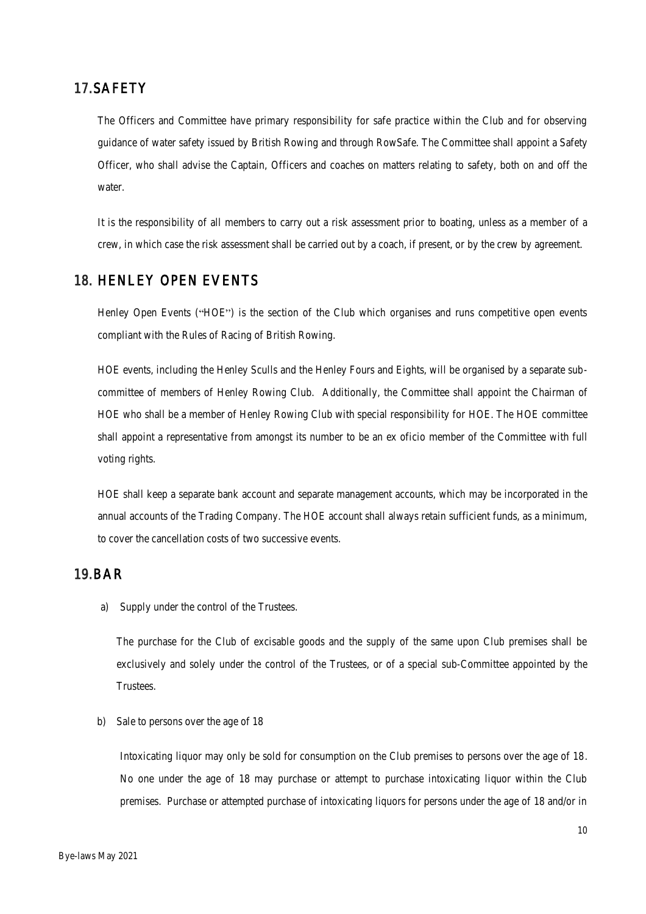# <span id="page-9-0"></span>17.SAFETY

The Officers and Committee have primary responsibility for safe practice within the Club and for observing guidance of water safety issued by British Rowing and through RowSafe. The Committee shall appoint a Safety Officer, who shall advise the Captain, Officers and coaches on matters relating to safety, both on and off the water.

It is the responsibility of all members to carry out a risk assessment prior to boating, unless as a member of a crew, in which case the risk assessment shall be carried out by a coach, if present, or by the crew by agreement.

#### <span id="page-9-1"></span>18. HENLEY OPEN EVENTS

Henley Open Events ("HOE") is the section of the Club which organises and runs competitive open events compliant with the Rules of Racing of British Rowing.

HOE events, including the Henley Sculls and the Henley Fours and Eights, will be organised by a separate subcommittee of members of Henley Rowing Club. Additionally, the Committee shall appoint the Chairman of HOE who shall be a member of Henley Rowing Club with special responsibility for HOE. The HOE committee shall appoint a representative from amongst its number to be an ex oficio member of the Committee with full voting rights.

HOE shall keep a separate bank account and separate management accounts, which may be incorporated in the annual accounts of the Trading Company. The HOE account shall always retain sufficient funds, as a minimum, to cover the cancellation costs of two successive events.

#### <span id="page-9-2"></span>19.BAR

a) Supply under the control of the Trustees.

The purchase for the Club of excisable goods and the supply of the same upon Club premises shall be exclusively and solely under the control of the Trustees, or of a special sub-Committee appointed by the Trustees.

b) Sale to persons over the age of 18

Intoxicating liquor may only be sold for consumption on the Club premises to persons over the age of 18. No one under the age of 18 may purchase or attempt to purchase intoxicating liquor within the Club premises. Purchase or attempted purchase of intoxicating liquors for persons under the age of 18 and/or in